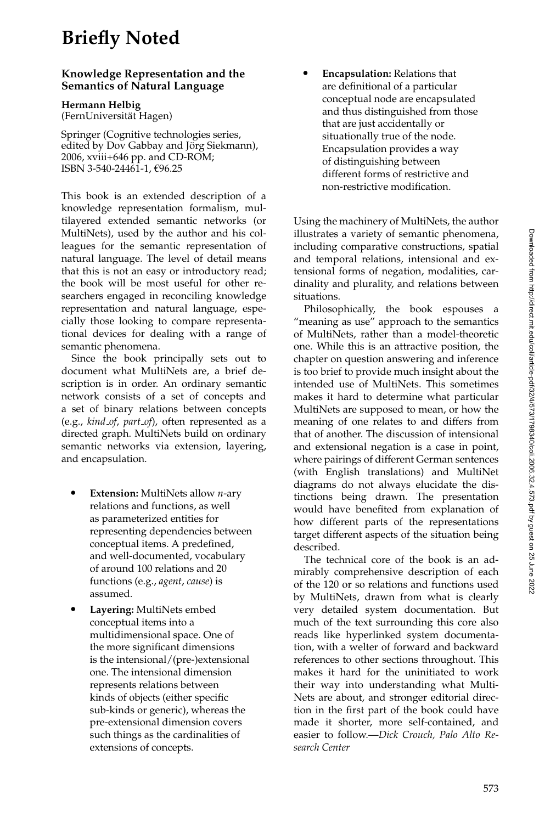## **Briefly Noted**

## **Knowledge Representation and the Semantics of Natural Language**

**Hermann Helbig**

(FernUniversitat Hagen) ¨

Springer (Cognitive technologies series, edited by Dov Gabbay and Jörg Siekmann), 2006, xviii+646 pp. and CD-ROM; ISBN 3-540-24461-1, €96.25

This book is an extended description of a knowledge representation formalism, multilayered extended semantic networks (or MultiNets), used by the author and his colleagues for the semantic representation of natural language. The level of detail means that this is not an easy or introductory read; the book will be most useful for other researchers engaged in reconciling knowledge representation and natural language, especially those looking to compare representational devices for dealing with a range of semantic phenomena.

Since the book principally sets out to document what MultiNets are, a brief description is in order. An ordinary semantic network consists of a set of concepts and a set of binary relations between concepts (e.g., *kind of*, *part of*), often represented as a directed graph. MultiNets build on ordinary semantic networks via extension, layering, and encapsulation.

- **Extension:** MultiNets allow *n*-ary relations and functions, as well as parameterized entities for representing dependencies between conceptual items. A predefined, and well-documented, vocabulary of around 100 relations and 20 functions (e.g., *agent*, *cause*) is assumed.
- **Layering:** MultiNets embed conceptual items into a multidimensional space. One of the more significant dimensions is the intensional/(pre-)extensional one. The intensional dimension represents relations between kinds of objects (either specific sub-kinds or generic), whereas the pre-extensional dimension covers such things as the cardinalities of extensions of concepts.

 **Encapsulation:** Relations that are definitional of a particular conceptual node are encapsulated and thus distinguished from those that are just accidentally or situationally true of the node. Encapsulation provides a way of distinguishing between different forms of restrictive and non-restrictive modification.

Using the machinery of MultiNets, the author illustrates a variety of semantic phenomena, including comparative constructions, spatial and temporal relations, intensional and extensional forms of negation, modalities, cardinality and plurality, and relations between situations.

Philosophically, the book espouses a "meaning as use" approach to the semantics of MultiNets, rather than a model-theoretic one. While this is an attractive position, the chapter on question answering and inference is too brief to provide much insight about the intended use of MultiNets. This sometimes makes it hard to determine what particular MultiNets are supposed to mean, or how the meaning of one relates to and differs from that of another. The discussion of intensional and extensional negation is a case in point, where pairings of different German sentences (with English translations) and MultiNet diagrams do not always elucidate the distinctions being drawn. The presentation would have benefited from explanation of how different parts of the representations target different aspects of the situation being described.

The technical core of the book is an admirably comprehensive description of each of the 120 or so relations and functions used by MultiNets, drawn from what is clearly very detailed system documentation. But much of the text surrounding this core also reads like hyperlinked system documentation, with a welter of forward and backward references to other sections throughout. This makes it hard for the uninitiated to work their way into understanding what Multi-Nets are about, and stronger editorial direction in the first part of the book could have made it shorter, more self-contained, and easier to follow.—*Dick Crouch, Palo Alto Research Center*